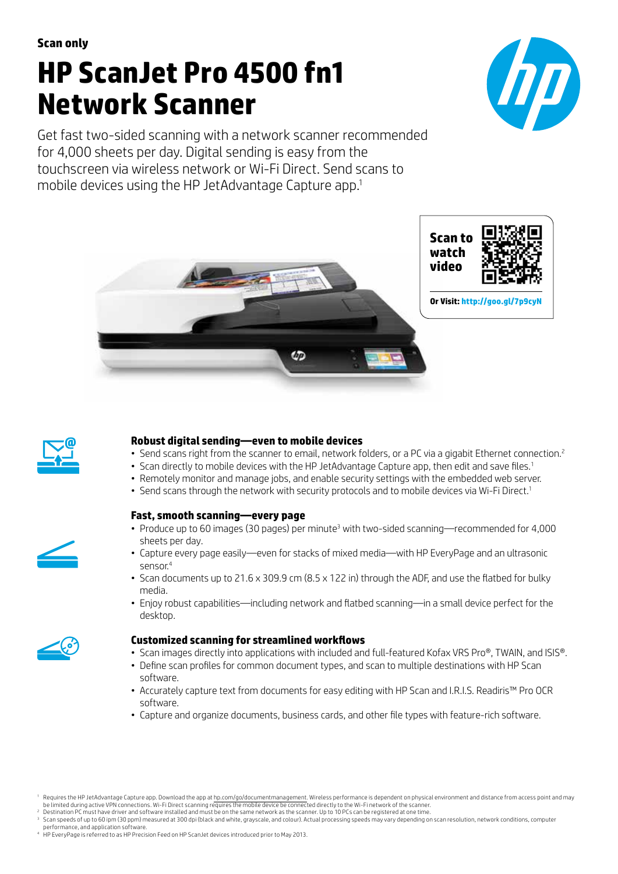# **HP ScanJet Pro 4500 fn1 Network Scanner**

Get fast two-sided scanning with a network scanner recommended for 4,000 sheets per day. Digital sending is easy from the touchscreen via wireless network or Wi-Fi Direct. Send scans to mobile devices using the HP JetAdvantage Capture app.1







# **Robust digital sending—even to mobile devices**

- Send scans right from the scanner to email, network folders, or a PC via a gigabit Ethernet connection.<sup>2</sup>
- Scan directly to mobile devices with the HP JetAdvantage Capture app, then edit and save files.<sup>1</sup>
- Remotely monitor and manage jobs, and enable security settings with the embedded web server.
- Send scans through the network with security protocols and to mobile devices via Wi-Fi Direct.<sup>1</sup>

# **Fast, smooth scanning—every page**

- Produce up to 60 images (30 pages) per minute<sup>3</sup> with two-sided scanning—recommended for 4,000 sheets per day.
- • Capture every page easily—even for stacks of mixed media—with HP EveryPage and an ultrasonic sensor.<sup>4</sup>
- Scan documents up to 21.6 x 309.9 cm (8.5 x 122 in) through the ADF, and use the flatbed for bulky media.
- • Enjoy robust capabilities—including network and flatbed scanning—in a small device perfect for the desktop.



## **Customized scanning for streamlined workflows**

- Scan images directly into applications with included and full-featured Kofax VRS Pro®, TWAIN, and ISIS®.
- • Define scan profiles for common document types, and scan to multiple destinations with HP Scan software.
- • Accurately capture text from documents for easy editing with HP Scan and I.R.I.S. Readiris™ Pro OCR software.
- Capture and organize documents, business cards, and other file types with feature-rich software.

<sup>&</sup>lt;sup>1</sup> Requires the HP JetAdvantage Capture app. Download the app at [hp.com/go/documentmanagement.](http://hp.com/go/documentmanagement) Wireless performance is dependent on physical environment and distance from access point and may be limited during active VPN connections. Wi-Fi Direct scanning requires the mobile device be connected directly to the Wi-Fi network of the scanner.

<sup>2</sup> Destination PC must have driver and software installed and must be on the same network as the scanner. Up to 10 PCs can be registered at one time.  $^{\rm 3} \,$  Scan speeds of up to 60 ipm (30 ppm) measured at 300 dpi (black and white, grayscale, and colour). Actual processing speeds may vary depending on scan resolution, network conditions, computer

performance, and application software.<br>4 HP EveryPage is referred to as HP Precision Feed on HP ScanJet devices introduced prior to May 2013.